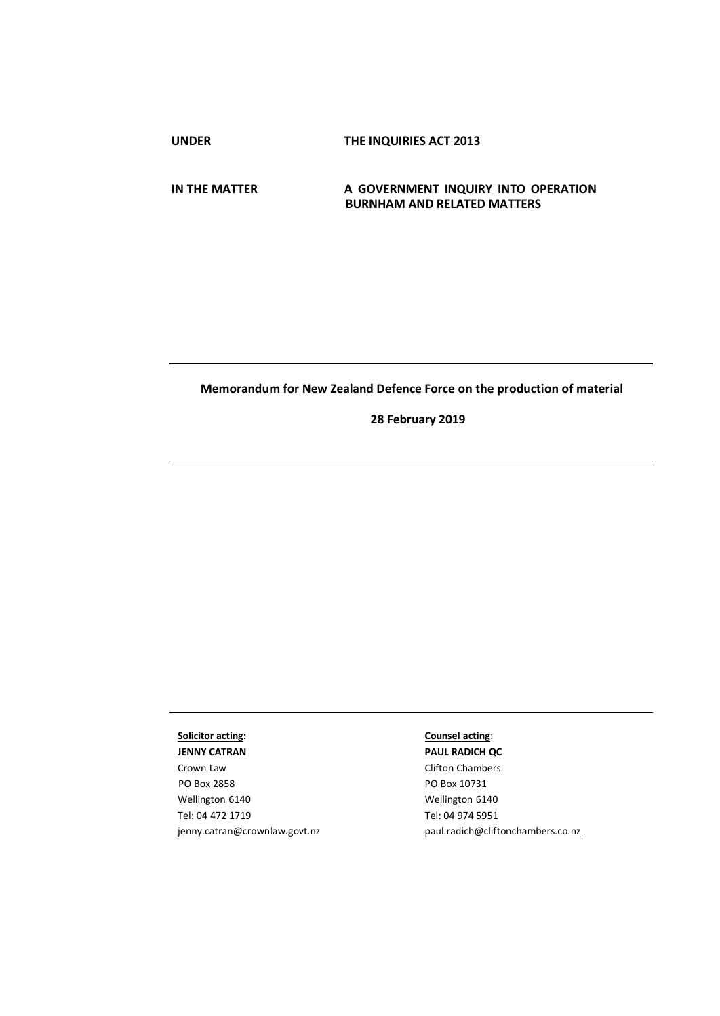**UNDER THE INQUIRIES ACT 2013**

**IN THE MATTER A GOVERNMENT INQUIRY INTO OPERATION BURNHAM AND RELATED MATTERS**

## **Memorandum for New Zealand Defence Force on the production of material**

**28 February 2019**

# **Solicitor acting:**

**JENNY CATRAN**  Crown Law PO Box 2858 Wellington 6140 Tel: 04 472 1719 [jenny.catran@crownlaw.govt.nz](mailto:jenny.catran@crownlaw.govt.nz)

## **Counsel acting**:

**PAUL RADICH QC**  Clifton Chambers PO Box 10731 Wellington 6140 Tel: 04 974 5951 [paul.radich@cliftonchambers.co.nz](mailto:paul.radich@cliftonchambers.co.nz)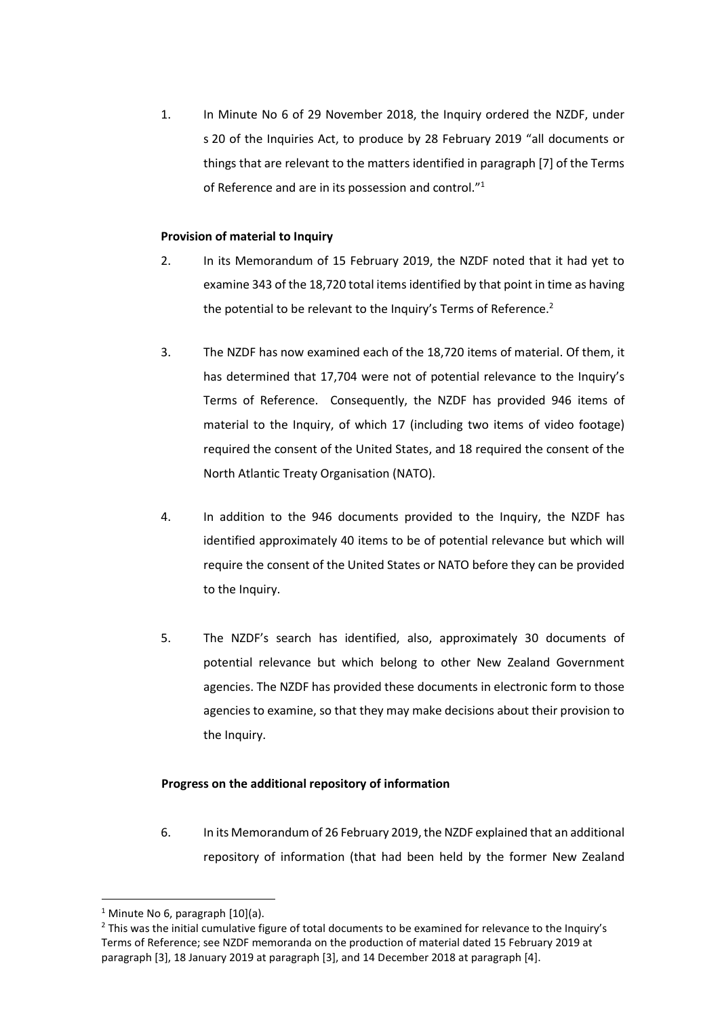1. In Minute No 6 of 29 November 2018, the Inquiry ordered the NZDF, under s 20 of the Inquiries Act, to produce by 28 February 2019 "all documents or things that are relevant to the matters identified in paragraph [7] of the Terms of Reference and are in its possession and control."<sup>1</sup>

#### **Provision of material to Inquiry**

- 2. In its Memorandum of 15 February 2019, the NZDF noted that it had yet to examine 343 of the 18,720 total items identified by that point in time as having the potential to be relevant to the Inquiry's Terms of Reference. $2$
- 3. The NZDF has now examined each of the 18,720 items of material. Of them, it has determined that 17,704 were not of potential relevance to the Inquiry's Terms of Reference. Consequently, the NZDF has provided 946 items of material to the Inquiry, of which 17 (including two items of video footage) required the consent of the United States, and 18 required the consent of the North Atlantic Treaty Organisation (NATO).
- 4. In addition to the 946 documents provided to the Inquiry, the NZDF has identified approximately 40 items to be of potential relevance but which will require the consent of the United States or NATO before they can be provided to the Inquiry.
- 5. The NZDF's search has identified, also, approximately 30 documents of potential relevance but which belong to other New Zealand Government agencies. The NZDF has provided these documents in electronic form to those agencies to examine, so that they may make decisions about their provision to the Inquiry.

#### **Progress on the additional repository of information**

6. In its Memorandum of 26 February 2019, the NZDF explained that an additional repository of information (that had been held by the former New Zealand

**.** 

<sup>&</sup>lt;sup>1</sup> Minute No 6, paragraph  $[10](a)$ .

<sup>&</sup>lt;sup>2</sup> This was the initial cumulative figure of total documents to be examined for relevance to the Inquiry's Terms of Reference; see NZDF memoranda on the production of material dated 15 February 2019 at paragraph [3], 18 January 2019 at paragraph [3], and 14 December 2018 at paragraph [4].